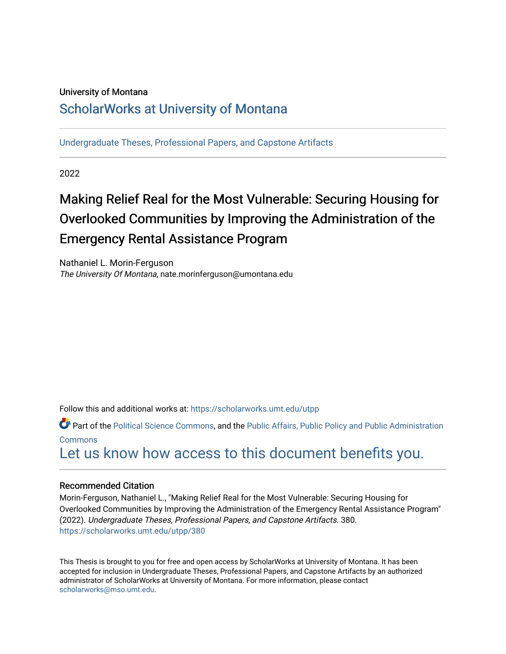#### University of Montana

### [ScholarWorks at University of Montana](https://scholarworks.umt.edu/)

[Undergraduate Theses, Professional Papers, and Capstone Artifacts](https://scholarworks.umt.edu/utpp)

2022

## Making Relief Real for the Most Vulnerable: Securing Housing for Overlooked Communities by Improving the Administration of the Emergency Rental Assistance Program

Nathaniel L. Morin-Ferguson The University Of Montana, nate.morinferguson@umontana.edu

Follow this and additional works at: [https://scholarworks.umt.edu/utpp](https://scholarworks.umt.edu/utpp?utm_source=scholarworks.umt.edu%2Futpp%2F380&utm_medium=PDF&utm_campaign=PDFCoverPages)

Part of the [Political Science Commons,](http://network.bepress.com/hgg/discipline/386?utm_source=scholarworks.umt.edu%2Futpp%2F380&utm_medium=PDF&utm_campaign=PDFCoverPages) and the Public Affairs, Public Policy and Public Administration [Commons](http://network.bepress.com/hgg/discipline/393?utm_source=scholarworks.umt.edu%2Futpp%2F380&utm_medium=PDF&utm_campaign=PDFCoverPages)

## [Let us know how access to this document benefits you.](https://goo.gl/forms/s2rGfXOLzz71qgsB2)

#### Recommended Citation

Morin-Ferguson, Nathaniel L., "Making Relief Real for the Most Vulnerable: Securing Housing for Overlooked Communities by Improving the Administration of the Emergency Rental Assistance Program" (2022). Undergraduate Theses, Professional Papers, and Capstone Artifacts. 380. [https://scholarworks.umt.edu/utpp/380](https://scholarworks.umt.edu/utpp/380?utm_source=scholarworks.umt.edu%2Futpp%2F380&utm_medium=PDF&utm_campaign=PDFCoverPages)

This Thesis is brought to you for free and open access by ScholarWorks at University of Montana. It has been accepted for inclusion in Undergraduate Theses, Professional Papers, and Capstone Artifacts by an authorized administrator of ScholarWorks at University of Montana. For more information, please contact [scholarworks@mso.umt.edu.](mailto:scholarworks@mso.umt.edu)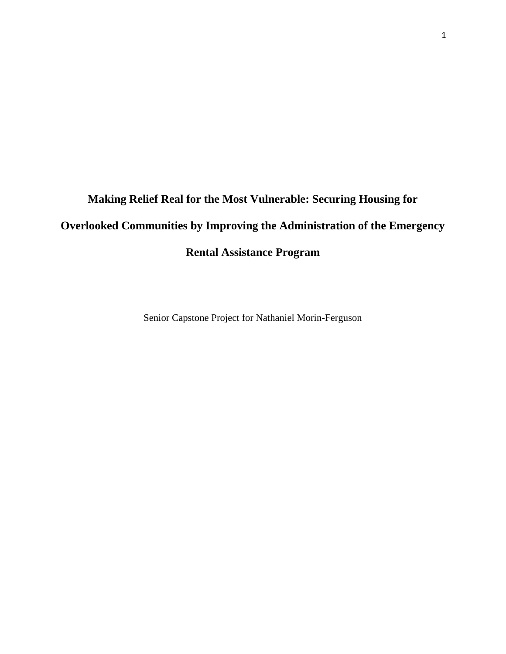# **Making Relief Real for the Most Vulnerable: Securing Housing for Overlooked Communities by Improving the Administration of the Emergency Rental Assistance Program**

Senior Capstone Project for Nathaniel Morin-Ferguson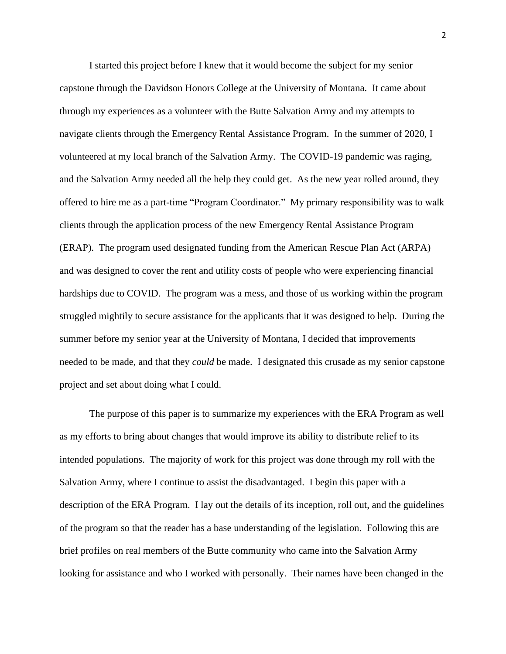I started this project before I knew that it would become the subject for my senior capstone through the Davidson Honors College at the University of Montana. It came about through my experiences as a volunteer with the Butte Salvation Army and my attempts to navigate clients through the Emergency Rental Assistance Program. In the summer of 2020, I volunteered at my local branch of the Salvation Army. The COVID-19 pandemic was raging, and the Salvation Army needed all the help they could get. As the new year rolled around, they offered to hire me as a part-time "Program Coordinator." My primary responsibility was to walk clients through the application process of the new Emergency Rental Assistance Program (ERAP). The program used designated funding from the American Rescue Plan Act (ARPA) and was designed to cover the rent and utility costs of people who were experiencing financial hardships due to COVID. The program was a mess, and those of us working within the program struggled mightily to secure assistance for the applicants that it was designed to help. During the summer before my senior year at the University of Montana, I decided that improvements needed to be made, and that they *could* be made. I designated this crusade as my senior capstone project and set about doing what I could.

The purpose of this paper is to summarize my experiences with the ERA Program as well as my efforts to bring about changes that would improve its ability to distribute relief to its intended populations. The majority of work for this project was done through my roll with the Salvation Army, where I continue to assist the disadvantaged. I begin this paper with a description of the ERA Program. I lay out the details of its inception, roll out, and the guidelines of the program so that the reader has a base understanding of the legislation. Following this are brief profiles on real members of the Butte community who came into the Salvation Army looking for assistance and who I worked with personally. Their names have been changed in the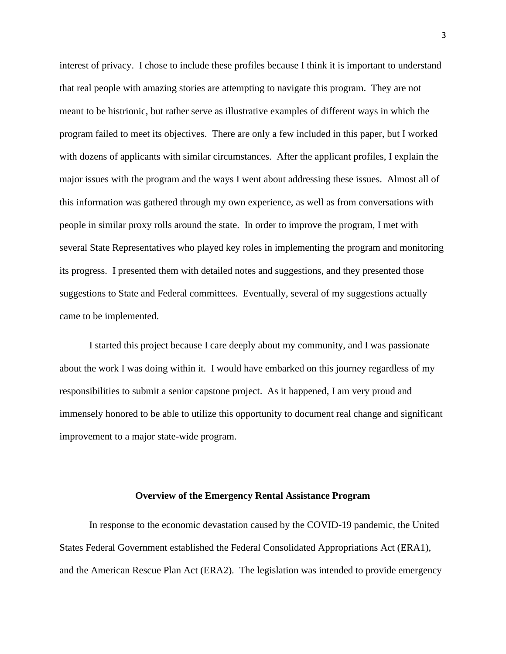interest of privacy. I chose to include these profiles because I think it is important to understand that real people with amazing stories are attempting to navigate this program. They are not meant to be histrionic, but rather serve as illustrative examples of different ways in which the program failed to meet its objectives. There are only a few included in this paper, but I worked with dozens of applicants with similar circumstances. After the applicant profiles, I explain the major issues with the program and the ways I went about addressing these issues. Almost all of this information was gathered through my own experience, as well as from conversations with people in similar proxy rolls around the state. In order to improve the program, I met with several State Representatives who played key roles in implementing the program and monitoring its progress. I presented them with detailed notes and suggestions, and they presented those suggestions to State and Federal committees. Eventually, several of my suggestions actually came to be implemented.

I started this project because I care deeply about my community, and I was passionate about the work I was doing within it. I would have embarked on this journey regardless of my responsibilities to submit a senior capstone project. As it happened, I am very proud and immensely honored to be able to utilize this opportunity to document real change and significant improvement to a major state-wide program.

#### **Overview of the Emergency Rental Assistance Program**

In response to the economic devastation caused by the COVID-19 pandemic, the United States Federal Government established the Federal Consolidated Appropriations Act (ERA1), and the American Rescue Plan Act (ERA2). The legislation was intended to provide emergency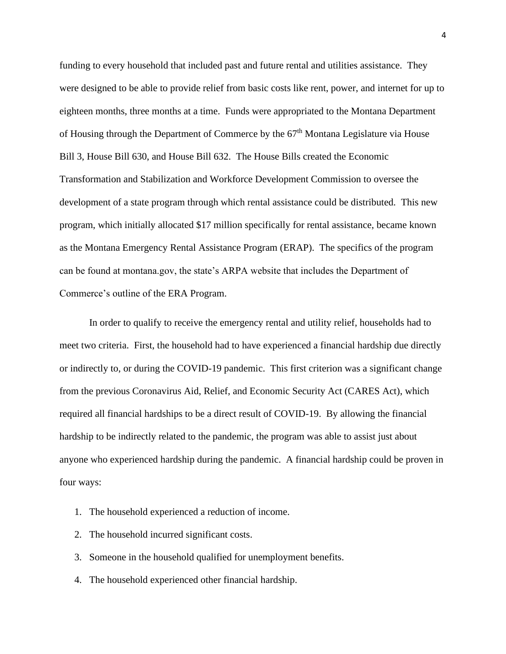funding to every household that included past and future rental and utilities assistance. They were designed to be able to provide relief from basic costs like rent, power, and internet for up to eighteen months, three months at a time. Funds were appropriated to the Montana Department of Housing through the Department of Commerce by the 67<sup>th</sup> Montana Legislature via House Bill 3, House Bill 630, and House Bill 632. The House Bills created the Economic Transformation and Stabilization and Workforce Development Commission to oversee the development of a state program through which rental assistance could be distributed. This new program, which initially allocated \$17 million specifically for rental assistance, became known as the Montana Emergency Rental Assistance Program (ERAP). The specifics of the program can be found at montana.gov, the state's ARPA website that includes the Department of Commerce's outline of the ERA Program.

In order to qualify to receive the emergency rental and utility relief, households had to meet two criteria. First, the household had to have experienced a financial hardship due directly or indirectly to, or during the COVID-19 pandemic. This first criterion was a significant change from the previous Coronavirus Aid, Relief, and Economic Security Act (CARES Act), which required all financial hardships to be a direct result of COVID-19. By allowing the financial hardship to be indirectly related to the pandemic, the program was able to assist just about anyone who experienced hardship during the pandemic. A financial hardship could be proven in four ways:

- 1. The household experienced a reduction of income.
- 2. The household incurred significant costs.
- 3. Someone in the household qualified for unemployment benefits.
- 4. The household experienced other financial hardship.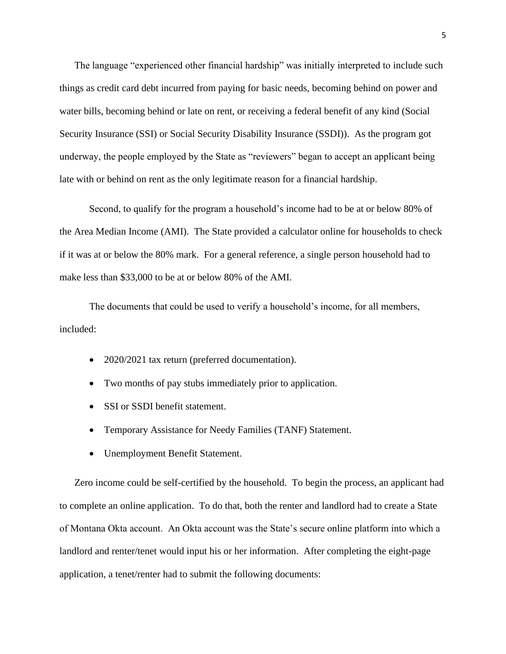The language "experienced other financial hardship" was initially interpreted to include such things as credit card debt incurred from paying for basic needs, becoming behind on power and water bills, becoming behind or late on rent, or receiving a federal benefit of any kind (Social Security Insurance (SSI) or Social Security Disability Insurance (SSDI)). As the program got underway, the people employed by the State as "reviewers" began to accept an applicant being late with or behind on rent as the only legitimate reason for a financial hardship.

Second, to qualify for the program a household's income had to be at or below 80% of the Area Median Income (AMI). The State provided a calculator online for households to check if it was at or below the 80% mark. For a general reference, a single person household had to make less than \$33,000 to be at or below 80% of the AMI.

The documents that could be used to verify a household's income, for all members, included:

- 2020/2021 tax return (preferred documentation).
- Two months of pay stubs immediately prior to application.
- SSI or SSDI benefit statement.
- Temporary Assistance for Needy Families (TANF) Statement.
- Unemployment Benefit Statement.

Zero income could be self-certified by the household. To begin the process, an applicant had to complete an online application. To do that, both the renter and landlord had to create a State of Montana Okta account. An Okta account was the State's secure online platform into which a landlord and renter/tenet would input his or her information. After completing the eight-page application, a tenet/renter had to submit the following documents: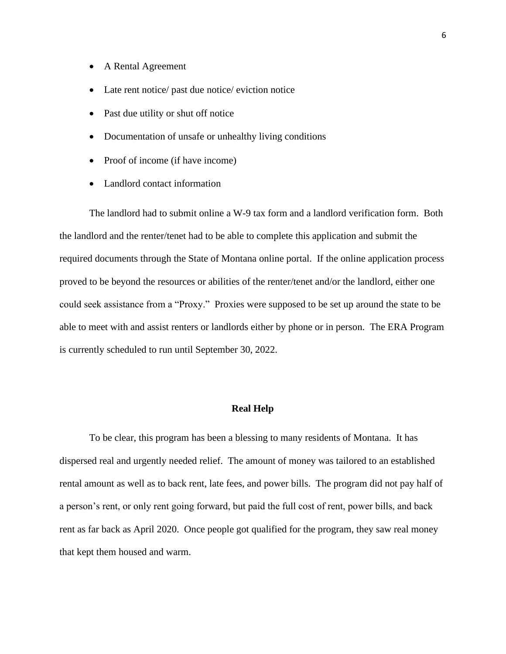- A Rental Agreement
- Late rent notice/ past due notice/ eviction notice
- Past due utility or shut off notice
- Documentation of unsafe or unhealthy living conditions
- Proof of income (if have income)
- Landlord contact information

The landlord had to submit online a W-9 tax form and a landlord verification form. Both the landlord and the renter/tenet had to be able to complete this application and submit the required documents through the State of Montana online portal. If the online application process proved to be beyond the resources or abilities of the renter/tenet and/or the landlord, either one could seek assistance from a "Proxy." Proxies were supposed to be set up around the state to be able to meet with and assist renters or landlords either by phone or in person. The ERA Program is currently scheduled to run until September 30, 2022.

#### **Real Help**

To be clear, this program has been a blessing to many residents of Montana. It has dispersed real and urgently needed relief. The amount of money was tailored to an established rental amount as well as to back rent, late fees, and power bills. The program did not pay half of a person's rent, or only rent going forward, but paid the full cost of rent, power bills, and back rent as far back as April 2020. Once people got qualified for the program, they saw real money that kept them housed and warm.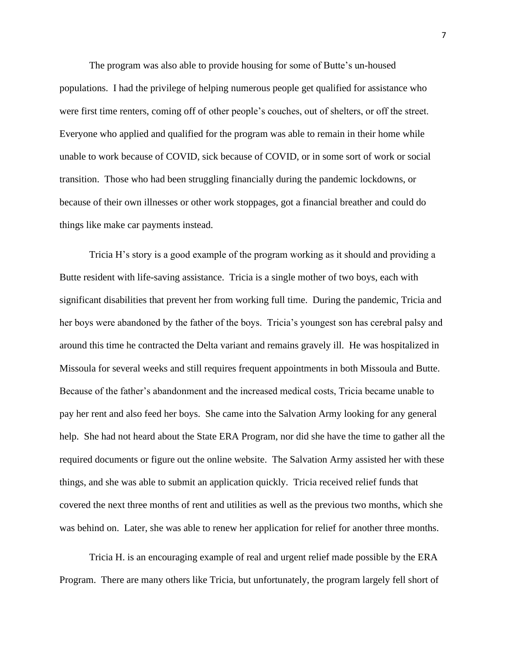The program was also able to provide housing for some of Butte's un-housed populations. I had the privilege of helping numerous people get qualified for assistance who were first time renters, coming off of other people's couches, out of shelters, or off the street. Everyone who applied and qualified for the program was able to remain in their home while unable to work because of COVID, sick because of COVID, or in some sort of work or social transition. Those who had been struggling financially during the pandemic lockdowns, or because of their own illnesses or other work stoppages, got a financial breather and could do things like make car payments instead.

Tricia H's story is a good example of the program working as it should and providing a Butte resident with life-saving assistance. Tricia is a single mother of two boys, each with significant disabilities that prevent her from working full time. During the pandemic, Tricia and her boys were abandoned by the father of the boys. Tricia's youngest son has cerebral palsy and around this time he contracted the Delta variant and remains gravely ill. He was hospitalized in Missoula for several weeks and still requires frequent appointments in both Missoula and Butte. Because of the father's abandonment and the increased medical costs, Tricia became unable to pay her rent and also feed her boys. She came into the Salvation Army looking for any general help. She had not heard about the State ERA Program, nor did she have the time to gather all the required documents or figure out the online website. The Salvation Army assisted her with these things, and she was able to submit an application quickly. Tricia received relief funds that covered the next three months of rent and utilities as well as the previous two months, which she was behind on. Later, she was able to renew her application for relief for another three months.

Tricia H. is an encouraging example of real and urgent relief made possible by the ERA Program. There are many others like Tricia, but unfortunately, the program largely fell short of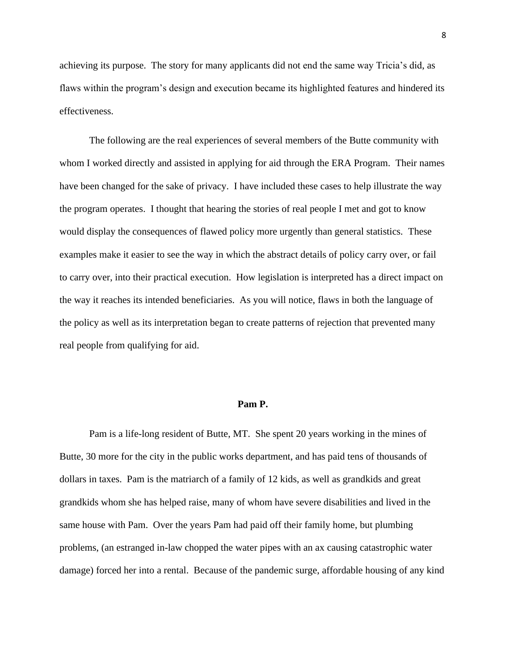achieving its purpose. The story for many applicants did not end the same way Tricia's did, as flaws within the program's design and execution became its highlighted features and hindered its effectiveness.

 The following are the real experiences of several members of the Butte community with whom I worked directly and assisted in applying for aid through the ERA Program. Their names have been changed for the sake of privacy. I have included these cases to help illustrate the way the program operates. I thought that hearing the stories of real people I met and got to know would display the consequences of flawed policy more urgently than general statistics. These examples make it easier to see the way in which the abstract details of policy carry over, or fail to carry over, into their practical execution. How legislation is interpreted has a direct impact on the way it reaches its intended beneficiaries. As you will notice, flaws in both the language of the policy as well as its interpretation began to create patterns of rejection that prevented many real people from qualifying for aid.

#### **Pam P.**

Pam is a life-long resident of Butte, MT. She spent 20 years working in the mines of Butte, 30 more for the city in the public works department, and has paid tens of thousands of dollars in taxes. Pam is the matriarch of a family of 12 kids, as well as grandkids and great grandkids whom she has helped raise, many of whom have severe disabilities and lived in the same house with Pam. Over the years Pam had paid off their family home, but plumbing problems, (an estranged in-law chopped the water pipes with an ax causing catastrophic water damage) forced her into a rental. Because of the pandemic surge, affordable housing of any kind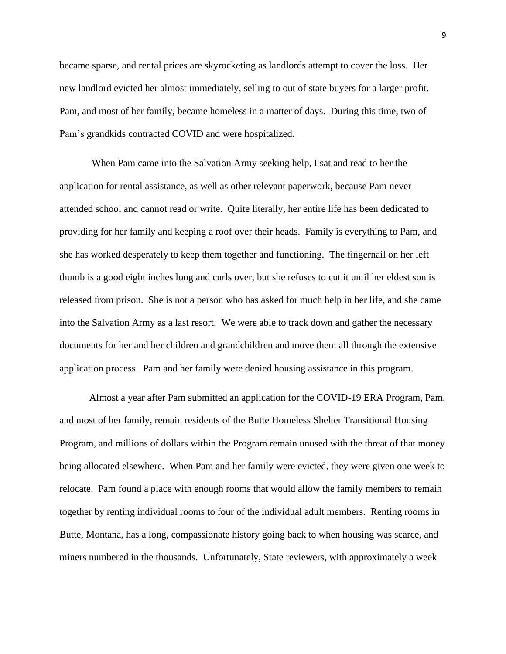became sparse, and rental prices are skyrocketing as landlords attempt to cover the loss. Her new landlord evicted her almost immediately, selling to out of state buyers for a larger profit. Pam, and most of her family, became homeless in a matter of days. During this time, two of Pam's grandkids contracted COVID and were hospitalized.

When Pam came into the Salvation Army seeking help, I sat and read to her the application for rental assistance, as well as other relevant paperwork, because Pam never attended school and cannot read or write. Quite literally, her entire life has been dedicated to providing for her family and keeping a roof over their heads. Family is everything to Pam, and she has worked desperately to keep them together and functioning. The fingernail on her left thumb is a good eight inches long and curls over, but she refuses to cut it until her eldest son is released from prison. She is not a person who has asked for much help in her life, and she came into the Salvation Army as a last resort. We were able to track down and gather the necessary documents for her and her children and grandchildren and move them all through the extensive application process. Pam and her family were denied housing assistance in this program.

Almost a year after Pam submitted an application for the COVID-19 ERA Program, Pam, and most of her family, remain residents of the Butte Homeless Shelter Transitional Housing Program, and millions of dollars within the Program remain unused with the threat of that money being allocated elsewhere. When Pam and her family were evicted, they were given one week to relocate. Pam found a place with enough rooms that would allow the family members to remain together by renting individual rooms to four of the individual adult members. Renting rooms in Butte, Montana, has a long, compassionate history going back to when housing was scarce, and miners numbered in the thousands. Unfortunately, State reviewers, with approximately a week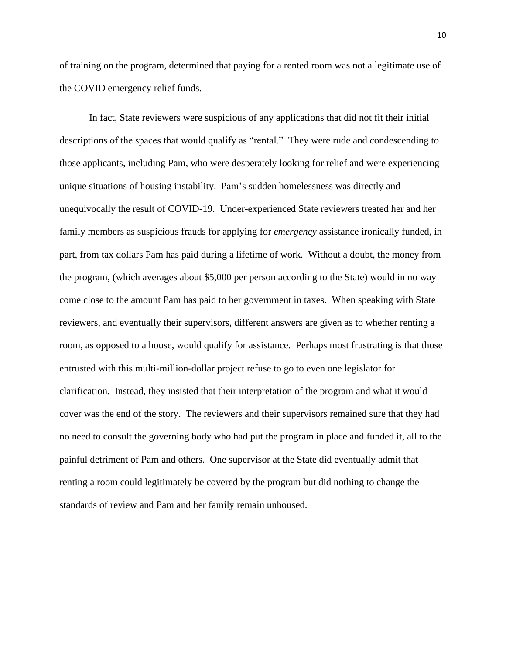of training on the program, determined that paying for a rented room was not a legitimate use of the COVID emergency relief funds.

In fact, State reviewers were suspicious of any applications that did not fit their initial descriptions of the spaces that would qualify as "rental." They were rude and condescending to those applicants, including Pam, who were desperately looking for relief and were experiencing unique situations of housing instability. Pam's sudden homelessness was directly and unequivocally the result of COVID-19. Under-experienced State reviewers treated her and her family members as suspicious frauds for applying for *emergency* assistance ironically funded, in part, from tax dollars Pam has paid during a lifetime of work. Without a doubt, the money from the program, (which averages about \$5,000 per person according to the State) would in no way come close to the amount Pam has paid to her government in taxes. When speaking with State reviewers, and eventually their supervisors, different answers are given as to whether renting a room, as opposed to a house, would qualify for assistance. Perhaps most frustrating is that those entrusted with this multi-million-dollar project refuse to go to even one legislator for clarification. Instead, they insisted that their interpretation of the program and what it would cover was the end of the story. The reviewers and their supervisors remained sure that they had no need to consult the governing body who had put the program in place and funded it, all to the painful detriment of Pam and others. One supervisor at the State did eventually admit that renting a room could legitimately be covered by the program but did nothing to change the standards of review and Pam and her family remain unhoused.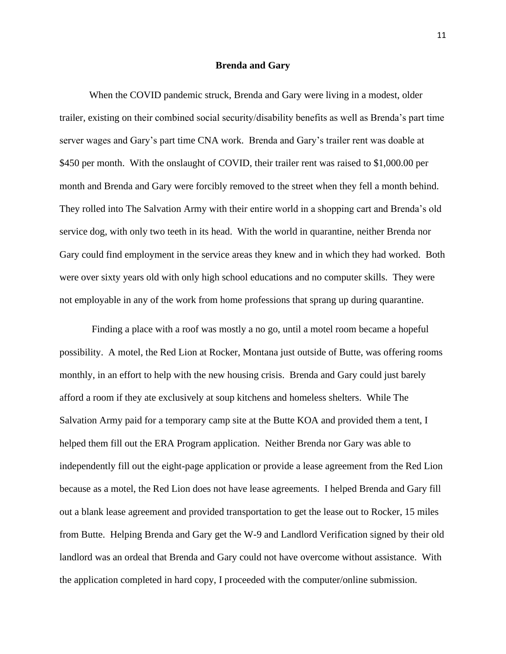#### **Brenda and Gary**

When the COVID pandemic struck, Brenda and Gary were living in a modest, older trailer, existing on their combined social security/disability benefits as well as Brenda's part time server wages and Gary's part time CNA work. Brenda and Gary's trailer rent was doable at \$450 per month. With the onslaught of COVID, their trailer rent was raised to \$1,000.00 per month and Brenda and Gary were forcibly removed to the street when they fell a month behind. They rolled into The Salvation Army with their entire world in a shopping cart and Brenda's old service dog, with only two teeth in its head. With the world in quarantine, neither Brenda nor Gary could find employment in the service areas they knew and in which they had worked. Both were over sixty years old with only high school educations and no computer skills. They were not employable in any of the work from home professions that sprang up during quarantine.

Finding a place with a roof was mostly a no go, until a motel room became a hopeful possibility. A motel, the Red Lion at Rocker, Montana just outside of Butte, was offering rooms monthly, in an effort to help with the new housing crisis. Brenda and Gary could just barely afford a room if they ate exclusively at soup kitchens and homeless shelters. While The Salvation Army paid for a temporary camp site at the Butte KOA and provided them a tent, I helped them fill out the ERA Program application. Neither Brenda nor Gary was able to independently fill out the eight-page application or provide a lease agreement from the Red Lion because as a motel, the Red Lion does not have lease agreements. I helped Brenda and Gary fill out a blank lease agreement and provided transportation to get the lease out to Rocker, 15 miles from Butte. Helping Brenda and Gary get the W-9 and Landlord Verification signed by their old landlord was an ordeal that Brenda and Gary could not have overcome without assistance. With the application completed in hard copy, I proceeded with the computer/online submission.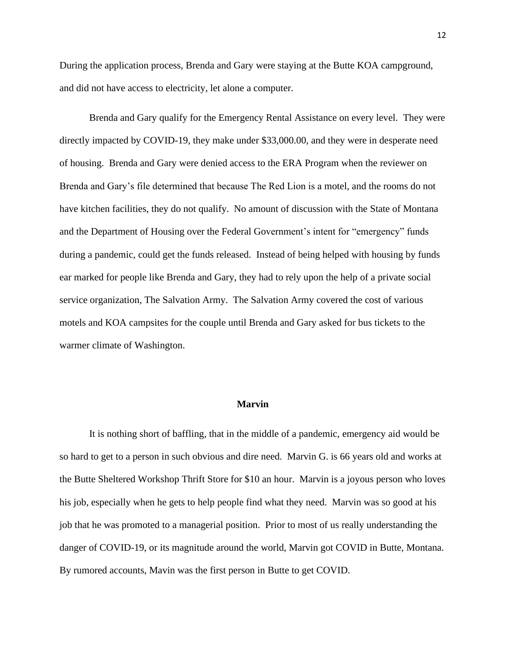During the application process, Brenda and Gary were staying at the Butte KOA campground, and did not have access to electricity, let alone a computer.

Brenda and Gary qualify for the Emergency Rental Assistance on every level. They were directly impacted by COVID-19, they make under \$33,000.00, and they were in desperate need of housing. Brenda and Gary were denied access to the ERA Program when the reviewer on Brenda and Gary's file determined that because The Red Lion is a motel, and the rooms do not have kitchen facilities, they do not qualify. No amount of discussion with the State of Montana and the Department of Housing over the Federal Government's intent for "emergency" funds during a pandemic, could get the funds released. Instead of being helped with housing by funds ear marked for people like Brenda and Gary, they had to rely upon the help of a private social service organization, The Salvation Army. The Salvation Army covered the cost of various motels and KOA campsites for the couple until Brenda and Gary asked for bus tickets to the warmer climate of Washington.

#### **Marvin**

It is nothing short of baffling, that in the middle of a pandemic, emergency aid would be so hard to get to a person in such obvious and dire need. Marvin G. is 66 years old and works at the Butte Sheltered Workshop Thrift Store for \$10 an hour. Marvin is a joyous person who loves his job, especially when he gets to help people find what they need. Marvin was so good at his job that he was promoted to a managerial position. Prior to most of us really understanding the danger of COVID-19, or its magnitude around the world, Marvin got COVID in Butte, Montana. By rumored accounts, Mavin was the first person in Butte to get COVID.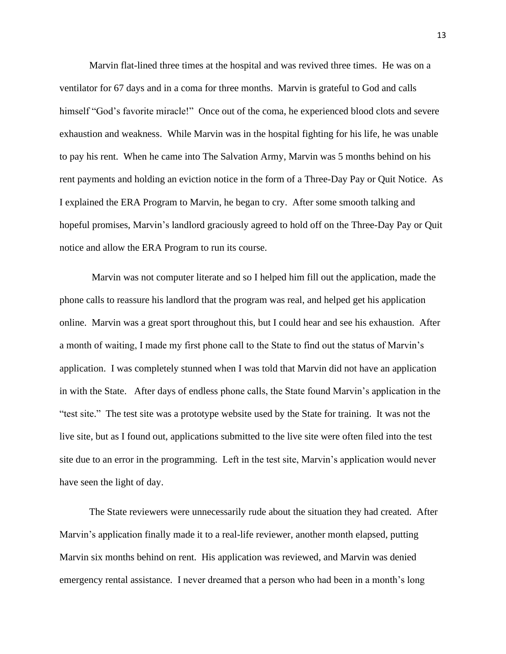Marvin flat-lined three times at the hospital and was revived three times. He was on a ventilator for 67 days and in a coma for three months. Marvin is grateful to God and calls himself "God's favorite miracle!" Once out of the coma, he experienced blood clots and severe exhaustion and weakness. While Marvin was in the hospital fighting for his life, he was unable to pay his rent. When he came into The Salvation Army, Marvin was 5 months behind on his rent payments and holding an eviction notice in the form of a Three-Day Pay or Quit Notice. As I explained the ERA Program to Marvin, he began to cry. After some smooth talking and hopeful promises, Marvin's landlord graciously agreed to hold off on the Three-Day Pay or Quit notice and allow the ERA Program to run its course.

Marvin was not computer literate and so I helped him fill out the application, made the phone calls to reassure his landlord that the program was real, and helped get his application online. Marvin was a great sport throughout this, but I could hear and see his exhaustion. After a month of waiting, I made my first phone call to the State to find out the status of Marvin's application. I was completely stunned when I was told that Marvin did not have an application in with the State. After days of endless phone calls, the State found Marvin's application in the "test site." The test site was a prototype website used by the State for training. It was not the live site, but as I found out, applications submitted to the live site were often filed into the test site due to an error in the programming. Left in the test site, Marvin's application would never have seen the light of day.

The State reviewers were unnecessarily rude about the situation they had created. After Marvin's application finally made it to a real-life reviewer, another month elapsed, putting Marvin six months behind on rent. His application was reviewed, and Marvin was denied emergency rental assistance. I never dreamed that a person who had been in a month's long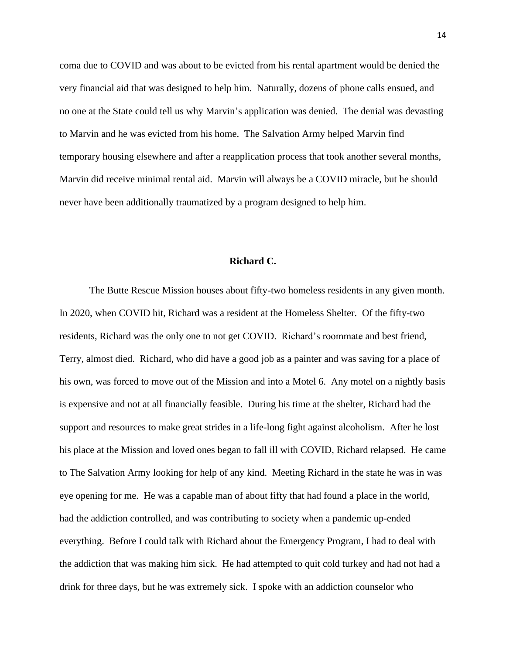coma due to COVID and was about to be evicted from his rental apartment would be denied the very financial aid that was designed to help him. Naturally, dozens of phone calls ensued, and no one at the State could tell us why Marvin's application was denied. The denial was devasting to Marvin and he was evicted from his home. The Salvation Army helped Marvin find temporary housing elsewhere and after a reapplication process that took another several months, Marvin did receive minimal rental aid. Marvin will always be a COVID miracle, but he should never have been additionally traumatized by a program designed to help him.

#### **Richard C.**

The Butte Rescue Mission houses about fifty-two homeless residents in any given month. In 2020, when COVID hit, Richard was a resident at the Homeless Shelter. Of the fifty-two residents, Richard was the only one to not get COVID. Richard's roommate and best friend, Terry, almost died. Richard, who did have a good job as a painter and was saving for a place of his own, was forced to move out of the Mission and into a Motel 6. Any motel on a nightly basis is expensive and not at all financially feasible. During his time at the shelter, Richard had the support and resources to make great strides in a life-long fight against alcoholism. After he lost his place at the Mission and loved ones began to fall ill with COVID, Richard relapsed. He came to The Salvation Army looking for help of any kind. Meeting Richard in the state he was in was eye opening for me. He was a capable man of about fifty that had found a place in the world, had the addiction controlled, and was contributing to society when a pandemic up-ended everything. Before I could talk with Richard about the Emergency Program, I had to deal with the addiction that was making him sick. He had attempted to quit cold turkey and had not had a drink for three days, but he was extremely sick. I spoke with an addiction counselor who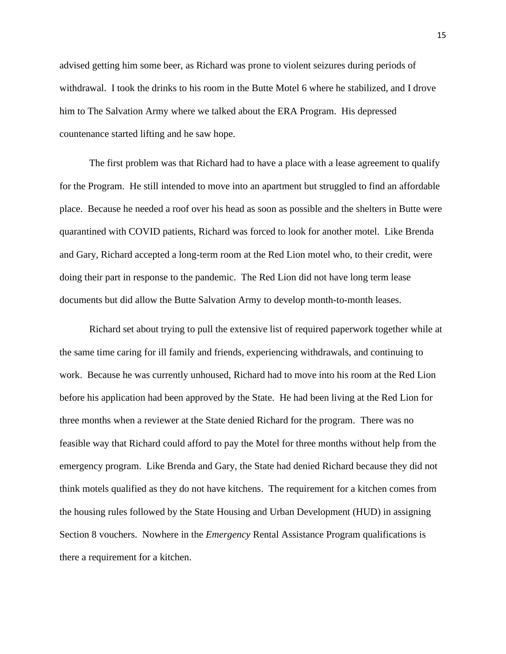advised getting him some beer, as Richard was prone to violent seizures during periods of withdrawal. I took the drinks to his room in the Butte Motel 6 where he stabilized, and I drove him to The Salvation Army where we talked about the ERA Program. His depressed countenance started lifting and he saw hope.

The first problem was that Richard had to have a place with a lease agreement to qualify for the Program. He still intended to move into an apartment but struggled to find an affordable place. Because he needed a roof over his head as soon as possible and the shelters in Butte were quarantined with COVID patients, Richard was forced to look for another motel. Like Brenda and Gary, Richard accepted a long-term room at the Red Lion motel who, to their credit, were doing their part in response to the pandemic. The Red Lion did not have long term lease documents but did allow the Butte Salvation Army to develop month-to-month leases.

Richard set about trying to pull the extensive list of required paperwork together while at the same time caring for ill family and friends, experiencing withdrawals, and continuing to work. Because he was currently unhoused, Richard had to move into his room at the Red Lion before his application had been approved by the State. He had been living at the Red Lion for three months when a reviewer at the State denied Richard for the program. There was no feasible way that Richard could afford to pay the Motel for three months without help from the emergency program. Like Brenda and Gary, the State had denied Richard because they did not think motels qualified as they do not have kitchens. The requirement for a kitchen comes from the housing rules followed by the State Housing and Urban Development (HUD) in assigning Section 8 vouchers. Nowhere in the *Emergency* Rental Assistance Program qualifications is there a requirement for a kitchen.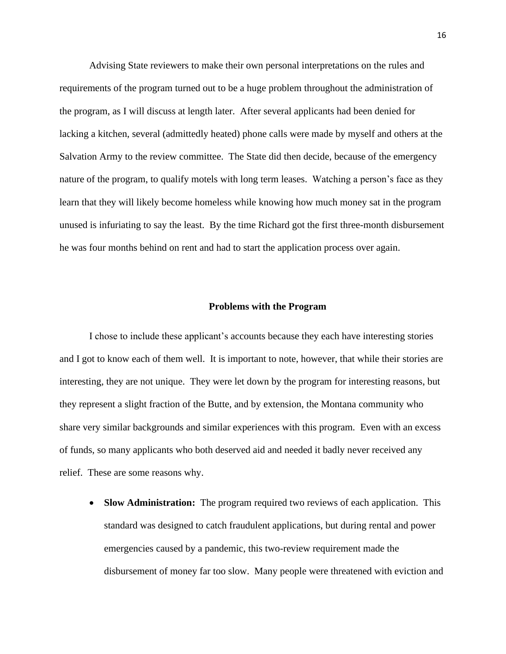Advising State reviewers to make their own personal interpretations on the rules and requirements of the program turned out to be a huge problem throughout the administration of the program, as I will discuss at length later. After several applicants had been denied for lacking a kitchen, several (admittedly heated) phone calls were made by myself and others at the Salvation Army to the review committee. The State did then decide, because of the emergency nature of the program, to qualify motels with long term leases. Watching a person's face as they learn that they will likely become homeless while knowing how much money sat in the program unused is infuriating to say the least. By the time Richard got the first three-month disbursement he was four months behind on rent and had to start the application process over again.

#### **Problems with the Program**

I chose to include these applicant's accounts because they each have interesting stories and I got to know each of them well. It is important to note, however, that while their stories are interesting, they are not unique. They were let down by the program for interesting reasons, but they represent a slight fraction of the Butte, and by extension, the Montana community who share very similar backgrounds and similar experiences with this program. Even with an excess of funds, so many applicants who both deserved aid and needed it badly never received any relief. These are some reasons why.

• **Slow Administration:** The program required two reviews of each application. This standard was designed to catch fraudulent applications, but during rental and power emergencies caused by a pandemic, this two-review requirement made the disbursement of money far too slow. Many people were threatened with eviction and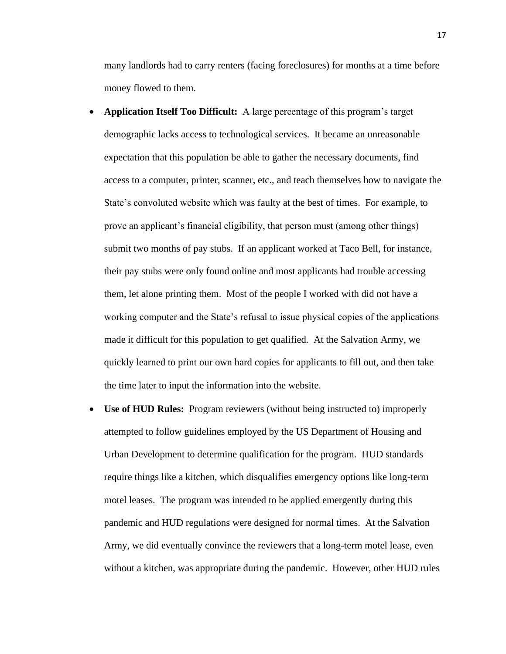many landlords had to carry renters (facing foreclosures) for months at a time before money flowed to them.

- **Application Itself Too Difficult:** A large percentage of this program's target demographic lacks access to technological services. It became an unreasonable expectation that this population be able to gather the necessary documents, find access to a computer, printer, scanner, etc., and teach themselves how to navigate the State's convoluted website which was faulty at the best of times. For example, to prove an applicant's financial eligibility, that person must (among other things) submit two months of pay stubs. If an applicant worked at Taco Bell, for instance, their pay stubs were only found online and most applicants had trouble accessing them, let alone printing them. Most of the people I worked with did not have a working computer and the State's refusal to issue physical copies of the applications made it difficult for this population to get qualified. At the Salvation Army, we quickly learned to print our own hard copies for applicants to fill out, and then take the time later to input the information into the website.
- **Use of HUD Rules:** Program reviewers (without being instructed to) improperly attempted to follow guidelines employed by the US Department of Housing and Urban Development to determine qualification for the program. HUD standards require things like a kitchen, which disqualifies emergency options like long-term motel leases. The program was intended to be applied emergently during this pandemic and HUD regulations were designed for normal times. At the Salvation Army, we did eventually convince the reviewers that a long-term motel lease, even without a kitchen, was appropriate during the pandemic. However, other HUD rules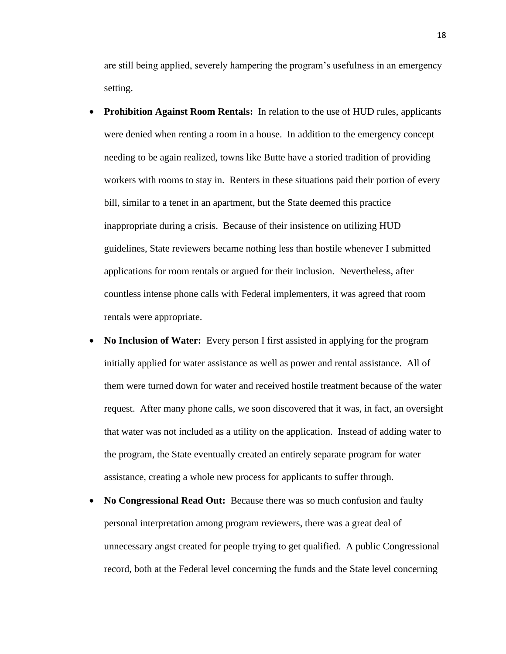are still being applied, severely hampering the program's usefulness in an emergency setting.

- **Prohibition Against Room Rentals:** In relation to the use of HUD rules, applicants were denied when renting a room in a house. In addition to the emergency concept needing to be again realized, towns like Butte have a storied tradition of providing workers with rooms to stay in. Renters in these situations paid their portion of every bill, similar to a tenet in an apartment, but the State deemed this practice inappropriate during a crisis. Because of their insistence on utilizing HUD guidelines, State reviewers became nothing less than hostile whenever I submitted applications for room rentals or argued for their inclusion. Nevertheless, after countless intense phone calls with Federal implementers, it was agreed that room rentals were appropriate.
- **No Inclusion of Water:** Every person I first assisted in applying for the program initially applied for water assistance as well as power and rental assistance. All of them were turned down for water and received hostile treatment because of the water request. After many phone calls, we soon discovered that it was, in fact, an oversight that water was not included as a utility on the application. Instead of adding water to the program, the State eventually created an entirely separate program for water assistance, creating a whole new process for applicants to suffer through.
- **No Congressional Read Out:** Because there was so much confusion and faulty personal interpretation among program reviewers, there was a great deal of unnecessary angst created for people trying to get qualified. A public Congressional record, both at the Federal level concerning the funds and the State level concerning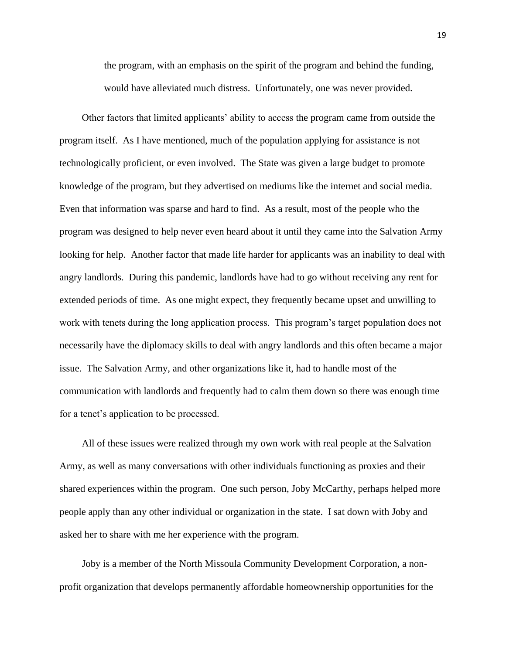the program, with an emphasis on the spirit of the program and behind the funding, would have alleviated much distress. Unfortunately, one was never provided.

Other factors that limited applicants' ability to access the program came from outside the program itself. As I have mentioned, much of the population applying for assistance is not technologically proficient, or even involved. The State was given a large budget to promote knowledge of the program, but they advertised on mediums like the internet and social media. Even that information was sparse and hard to find. As a result, most of the people who the program was designed to help never even heard about it until they came into the Salvation Army looking for help. Another factor that made life harder for applicants was an inability to deal with angry landlords. During this pandemic, landlords have had to go without receiving any rent for extended periods of time. As one might expect, they frequently became upset and unwilling to work with tenets during the long application process. This program's target population does not necessarily have the diplomacy skills to deal with angry landlords and this often became a major issue. The Salvation Army, and other organizations like it, had to handle most of the communication with landlords and frequently had to calm them down so there was enough time for a tenet's application to be processed.

All of these issues were realized through my own work with real people at the Salvation Army, as well as many conversations with other individuals functioning as proxies and their shared experiences within the program. One such person, Joby McCarthy, perhaps helped more people apply than any other individual or organization in the state. I sat down with Joby and asked her to share with me her experience with the program.

Joby is a member of the North Missoula Community Development Corporation, a nonprofit organization that develops permanently affordable homeownership opportunities for the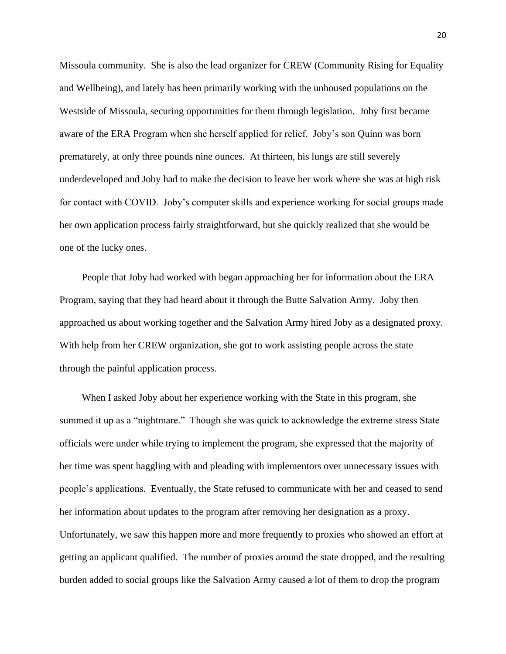Missoula community. She is also the lead organizer for CREW (Community Rising for Equality and Wellbeing), and lately has been primarily working with the unhoused populations on the Westside of Missoula, securing opportunities for them through legislation. Joby first became aware of the ERA Program when she herself applied for relief. Joby's son Quinn was born prematurely, at only three pounds nine ounces. At thirteen, his lungs are still severely underdeveloped and Joby had to make the decision to leave her work where she was at high risk for contact with COVID. Joby's computer skills and experience working for social groups made her own application process fairly straightforward, but she quickly realized that she would be one of the lucky ones.

People that Joby had worked with began approaching her for information about the ERA Program, saying that they had heard about it through the Butte Salvation Army. Joby then approached us about working together and the Salvation Army hired Joby as a designated proxy. With help from her CREW organization, she got to work assisting people across the state through the painful application process.

When I asked Joby about her experience working with the State in this program, she summed it up as a "nightmare." Though she was quick to acknowledge the extreme stress State officials were under while trying to implement the program, she expressed that the majority of her time was spent haggling with and pleading with implementors over unnecessary issues with people's applications. Eventually, the State refused to communicate with her and ceased to send her information about updates to the program after removing her designation as a proxy. Unfortunately, we saw this happen more and more frequently to proxies who showed an effort at getting an applicant qualified. The number of proxies around the state dropped, and the resulting burden added to social groups like the Salvation Army caused a lot of them to drop the program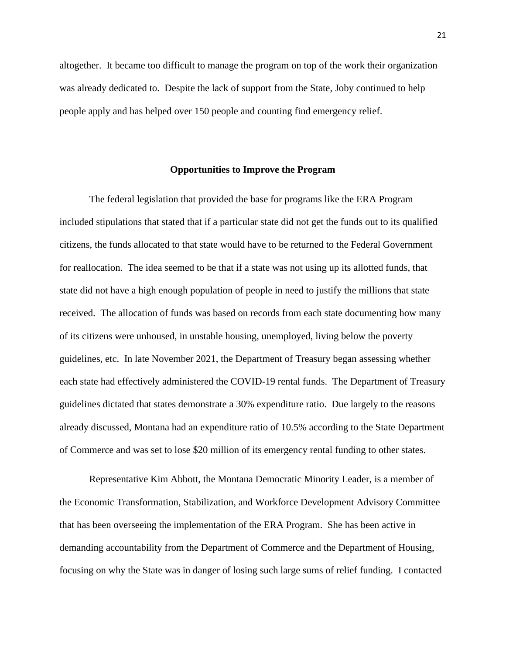altogether. It became too difficult to manage the program on top of the work their organization was already dedicated to. Despite the lack of support from the State, Joby continued to help people apply and has helped over 150 people and counting find emergency relief.

#### **Opportunities to Improve the Program**

The federal legislation that provided the base for programs like the ERA Program included stipulations that stated that if a particular state did not get the funds out to its qualified citizens, the funds allocated to that state would have to be returned to the Federal Government for reallocation. The idea seemed to be that if a state was not using up its allotted funds, that state did not have a high enough population of people in need to justify the millions that state received. The allocation of funds was based on records from each state documenting how many of its citizens were unhoused, in unstable housing, unemployed, living below the poverty guidelines, etc. In late November 2021, the Department of Treasury began assessing whether each state had effectively administered the COVID-19 rental funds. The Department of Treasury guidelines dictated that states demonstrate a 30% expenditure ratio. Due largely to the reasons already discussed, Montana had an expenditure ratio of 10.5% according to the State Department of Commerce and was set to lose \$20 million of its emergency rental funding to other states.

Representative Kim Abbott, the Montana Democratic Minority Leader, is a member of the Economic Transformation, Stabilization, and Workforce Development Advisory Committee that has been overseeing the implementation of the ERA Program. She has been active in demanding accountability from the Department of Commerce and the Department of Housing, focusing on why the State was in danger of losing such large sums of relief funding. I contacted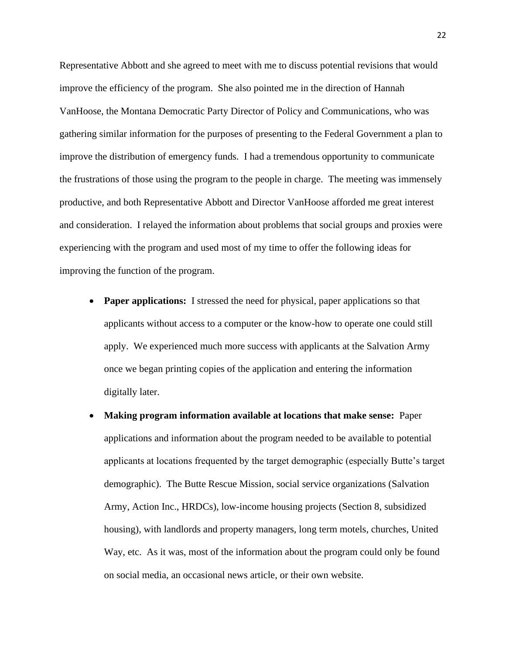Representative Abbott and she agreed to meet with me to discuss potential revisions that would improve the efficiency of the program. She also pointed me in the direction of Hannah VanHoose, the Montana Democratic Party Director of Policy and Communications, who was gathering similar information for the purposes of presenting to the Federal Government a plan to improve the distribution of emergency funds. I had a tremendous opportunity to communicate the frustrations of those using the program to the people in charge. The meeting was immensely productive, and both Representative Abbott and Director VanHoose afforded me great interest and consideration. I relayed the information about problems that social groups and proxies were experiencing with the program and used most of my time to offer the following ideas for improving the function of the program.

- **Paper applications:** I stressed the need for physical, paper applications so that applicants without access to a computer or the know-how to operate one could still apply. We experienced much more success with applicants at the Salvation Army once we began printing copies of the application and entering the information digitally later.
- **Making program information available at locations that make sense:** Paper applications and information about the program needed to be available to potential applicants at locations frequented by the target demographic (especially Butte's target demographic). The Butte Rescue Mission, social service organizations (Salvation Army, Action Inc., HRDCs), low-income housing projects (Section 8, subsidized housing), with landlords and property managers, long term motels, churches, United Way, etc. As it was, most of the information about the program could only be found on social media, an occasional news article, or their own website.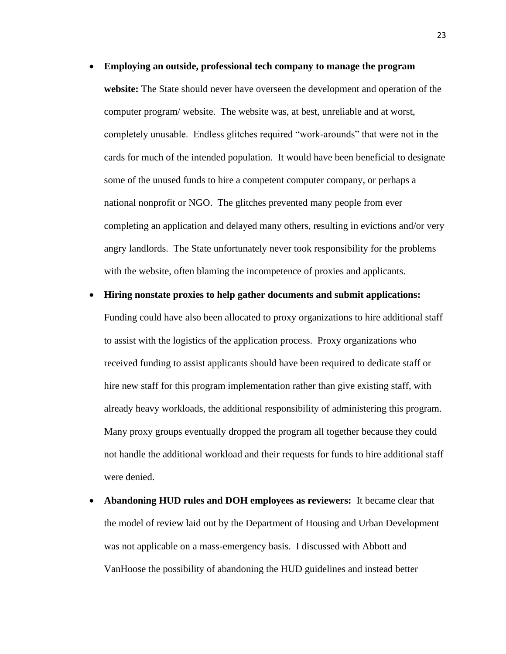• **Employing an outside, professional tech company to manage the program website:** The State should never have overseen the development and operation of the computer program/ website. The website was, at best, unreliable and at worst, completely unusable. Endless glitches required "work-arounds" that were not in the cards for much of the intended population. It would have been beneficial to designate some of the unused funds to hire a competent computer company, or perhaps a national nonprofit or NGO. The glitches prevented many people from ever completing an application and delayed many others, resulting in evictions and/or very angry landlords. The State unfortunately never took responsibility for the problems with the website, often blaming the incompetence of proxies and applicants.

#### • **Hiring nonstate proxies to help gather documents and submit applications:**

Funding could have also been allocated to proxy organizations to hire additional staff to assist with the logistics of the application process. Proxy organizations who received funding to assist applicants should have been required to dedicate staff or hire new staff for this program implementation rather than give existing staff, with already heavy workloads, the additional responsibility of administering this program. Many proxy groups eventually dropped the program all together because they could not handle the additional workload and their requests for funds to hire additional staff were denied.

• **Abandoning HUD rules and DOH employees as reviewers:** It became clear that the model of review laid out by the Department of Housing and Urban Development was not applicable on a mass-emergency basis. I discussed with Abbott and VanHoose the possibility of abandoning the HUD guidelines and instead better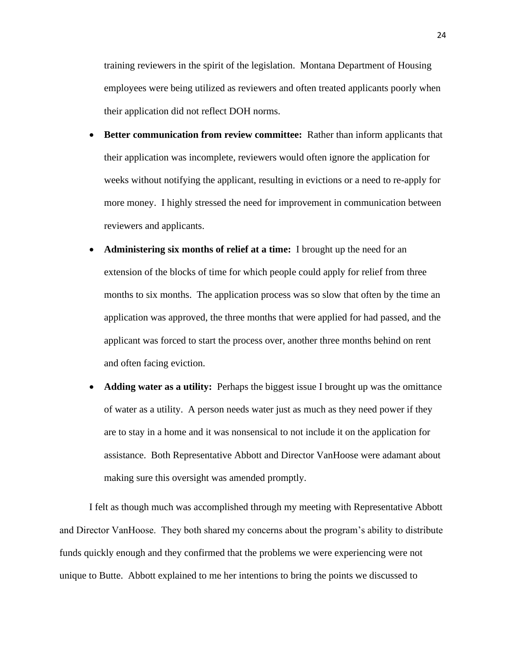training reviewers in the spirit of the legislation. Montana Department of Housing employees were being utilized as reviewers and often treated applicants poorly when their application did not reflect DOH norms.

- **Better communication from review committee:** Rather than inform applicants that their application was incomplete, reviewers would often ignore the application for weeks without notifying the applicant, resulting in evictions or a need to re-apply for more money. I highly stressed the need for improvement in communication between reviewers and applicants.
- **Administering six months of relief at a time:** I brought up the need for an extension of the blocks of time for which people could apply for relief from three months to six months. The application process was so slow that often by the time an application was approved, the three months that were applied for had passed, and the applicant was forced to start the process over, another three months behind on rent and often facing eviction.
- **Adding water as a utility:** Perhaps the biggest issue I brought up was the omittance of water as a utility. A person needs water just as much as they need power if they are to stay in a home and it was nonsensical to not include it on the application for assistance. Both Representative Abbott and Director VanHoose were adamant about making sure this oversight was amended promptly.

I felt as though much was accomplished through my meeting with Representative Abbott and Director VanHoose. They both shared my concerns about the program's ability to distribute funds quickly enough and they confirmed that the problems we were experiencing were not unique to Butte. Abbott explained to me her intentions to bring the points we discussed to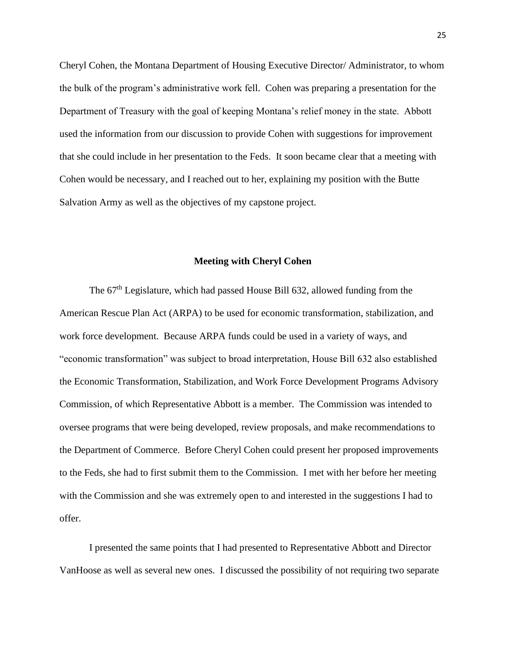Cheryl Cohen, the Montana Department of Housing Executive Director/ Administrator, to whom the bulk of the program's administrative work fell. Cohen was preparing a presentation for the Department of Treasury with the goal of keeping Montana's relief money in the state. Abbott used the information from our discussion to provide Cohen with suggestions for improvement that she could include in her presentation to the Feds. It soon became clear that a meeting with Cohen would be necessary, and I reached out to her, explaining my position with the Butte Salvation Army as well as the objectives of my capstone project.

#### **Meeting with Cheryl Cohen**

The  $67<sup>th</sup>$  Legislature, which had passed House Bill 632, allowed funding from the American Rescue Plan Act (ARPA) to be used for economic transformation, stabilization, and work force development. Because ARPA funds could be used in a variety of ways, and "economic transformation" was subject to broad interpretation, House Bill 632 also established the Economic Transformation, Stabilization, and Work Force Development Programs Advisory Commission, of which Representative Abbott is a member. The Commission was intended to oversee programs that were being developed, review proposals, and make recommendations to the Department of Commerce. Before Cheryl Cohen could present her proposed improvements to the Feds, she had to first submit them to the Commission. I met with her before her meeting with the Commission and she was extremely open to and interested in the suggestions I had to offer.

I presented the same points that I had presented to Representative Abbott and Director VanHoose as well as several new ones. I discussed the possibility of not requiring two separate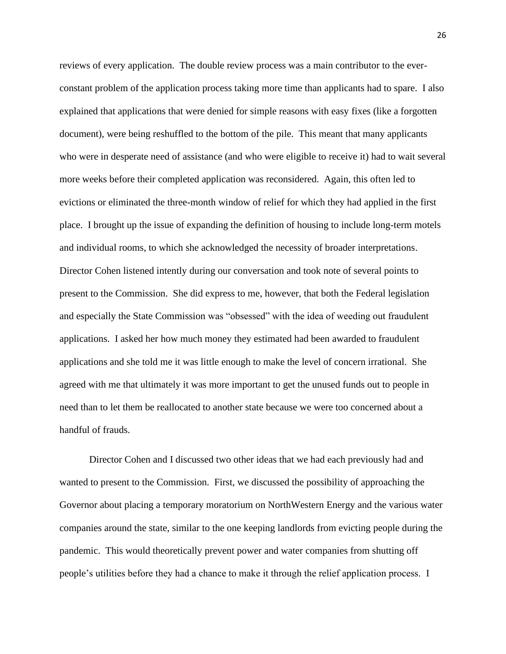reviews of every application. The double review process was a main contributor to the everconstant problem of the application process taking more time than applicants had to spare. I also explained that applications that were denied for simple reasons with easy fixes (like a forgotten document), were being reshuffled to the bottom of the pile. This meant that many applicants who were in desperate need of assistance (and who were eligible to receive it) had to wait several more weeks before their completed application was reconsidered. Again, this often led to evictions or eliminated the three-month window of relief for which they had applied in the first place. I brought up the issue of expanding the definition of housing to include long-term motels and individual rooms, to which she acknowledged the necessity of broader interpretations. Director Cohen listened intently during our conversation and took note of several points to present to the Commission. She did express to me, however, that both the Federal legislation and especially the State Commission was "obsessed" with the idea of weeding out fraudulent applications. I asked her how much money they estimated had been awarded to fraudulent applications and she told me it was little enough to make the level of concern irrational. She agreed with me that ultimately it was more important to get the unused funds out to people in need than to let them be reallocated to another state because we were too concerned about a handful of frauds.

Director Cohen and I discussed two other ideas that we had each previously had and wanted to present to the Commission. First, we discussed the possibility of approaching the Governor about placing a temporary moratorium on NorthWestern Energy and the various water companies around the state, similar to the one keeping landlords from evicting people during the pandemic. This would theoretically prevent power and water companies from shutting off people's utilities before they had a chance to make it through the relief application process. I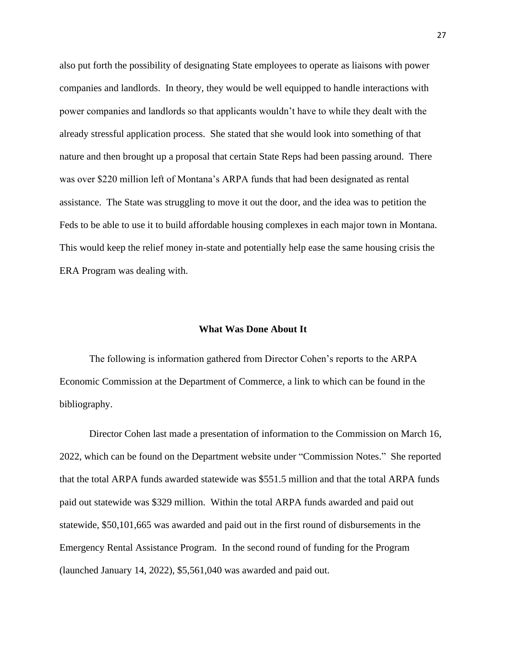also put forth the possibility of designating State employees to operate as liaisons with power companies and landlords. In theory, they would be well equipped to handle interactions with power companies and landlords so that applicants wouldn't have to while they dealt with the already stressful application process. She stated that she would look into something of that nature and then brought up a proposal that certain State Reps had been passing around. There was over \$220 million left of Montana's ARPA funds that had been designated as rental assistance. The State was struggling to move it out the door, and the idea was to petition the Feds to be able to use it to build affordable housing complexes in each major town in Montana. This would keep the relief money in-state and potentially help ease the same housing crisis the ERA Program was dealing with.

#### **What Was Done About It**

The following is information gathered from Director Cohen's reports to the ARPA Economic Commission at the Department of Commerce, a link to which can be found in the bibliography.

Director Cohen last made a presentation of information to the Commission on March 16, 2022, which can be found on the Department website under "Commission Notes." She reported that the total ARPA funds awarded statewide was \$551.5 million and that the total ARPA funds paid out statewide was \$329 million. Within the total ARPA funds awarded and paid out statewide, \$50,101,665 was awarded and paid out in the first round of disbursements in the Emergency Rental Assistance Program. In the second round of funding for the Program (launched January 14, 2022), \$5,561,040 was awarded and paid out.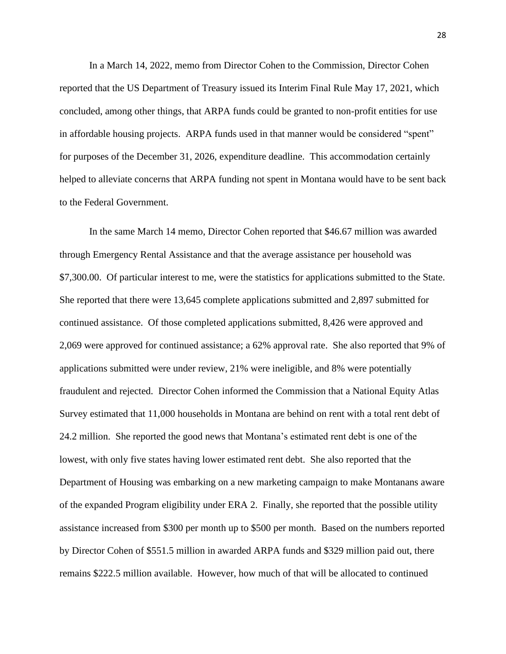In a March 14, 2022, memo from Director Cohen to the Commission, Director Cohen reported that the US Department of Treasury issued its Interim Final Rule May 17, 2021, which concluded, among other things, that ARPA funds could be granted to non-profit entities for use in affordable housing projects. ARPA funds used in that manner would be considered "spent" for purposes of the December 31, 2026, expenditure deadline. This accommodation certainly helped to alleviate concerns that ARPA funding not spent in Montana would have to be sent back to the Federal Government.

In the same March 14 memo, Director Cohen reported that \$46.67 million was awarded through Emergency Rental Assistance and that the average assistance per household was \$7,300.00. Of particular interest to me, were the statistics for applications submitted to the State. She reported that there were 13,645 complete applications submitted and 2,897 submitted for continued assistance. Of those completed applications submitted, 8,426 were approved and 2,069 were approved for continued assistance; a 62% approval rate. She also reported that 9% of applications submitted were under review, 21% were ineligible, and 8% were potentially fraudulent and rejected. Director Cohen informed the Commission that a National Equity Atlas Survey estimated that 11,000 households in Montana are behind on rent with a total rent debt of 24.2 million. She reported the good news that Montana's estimated rent debt is one of the lowest, with only five states having lower estimated rent debt. She also reported that the Department of Housing was embarking on a new marketing campaign to make Montanans aware of the expanded Program eligibility under ERA 2. Finally, she reported that the possible utility assistance increased from \$300 per month up to \$500 per month. Based on the numbers reported by Director Cohen of \$551.5 million in awarded ARPA funds and \$329 million paid out, there remains \$222.5 million available. However, how much of that will be allocated to continued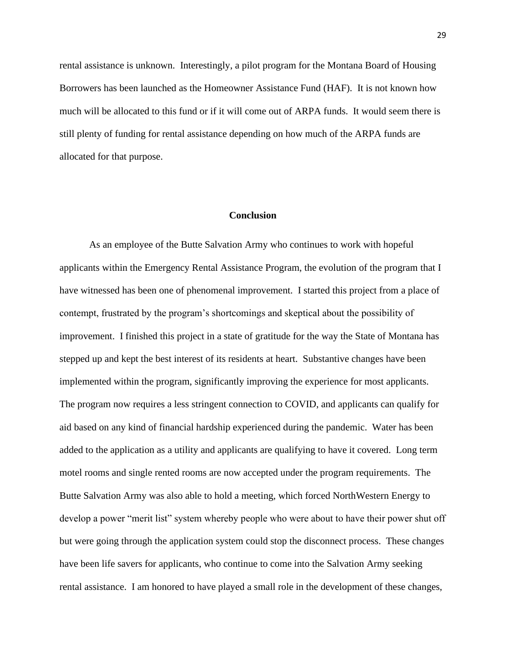rental assistance is unknown. Interestingly, a pilot program for the Montana Board of Housing Borrowers has been launched as the Homeowner Assistance Fund (HAF). It is not known how much will be allocated to this fund or if it will come out of ARPA funds. It would seem there is still plenty of funding for rental assistance depending on how much of the ARPA funds are allocated for that purpose.

#### **Conclusion**

As an employee of the Butte Salvation Army who continues to work with hopeful applicants within the Emergency Rental Assistance Program, the evolution of the program that I have witnessed has been one of phenomenal improvement. I started this project from a place of contempt, frustrated by the program's shortcomings and skeptical about the possibility of improvement. I finished this project in a state of gratitude for the way the State of Montana has stepped up and kept the best interest of its residents at heart. Substantive changes have been implemented within the program, significantly improving the experience for most applicants. The program now requires a less stringent connection to COVID, and applicants can qualify for aid based on any kind of financial hardship experienced during the pandemic. Water has been added to the application as a utility and applicants are qualifying to have it covered. Long term motel rooms and single rented rooms are now accepted under the program requirements. The Butte Salvation Army was also able to hold a meeting, which forced NorthWestern Energy to develop a power "merit list" system whereby people who were about to have their power shut off but were going through the application system could stop the disconnect process. These changes have been life savers for applicants, who continue to come into the Salvation Army seeking rental assistance. I am honored to have played a small role in the development of these changes,